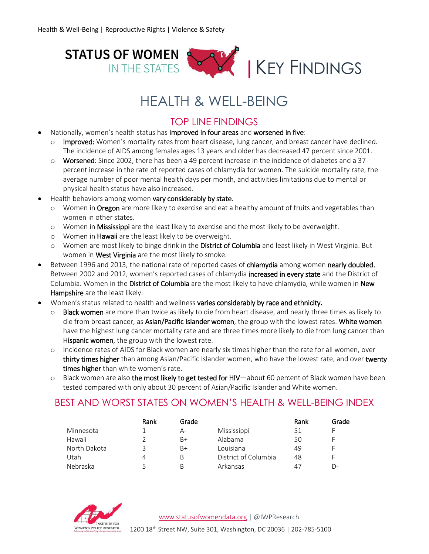

# HEALTH & WELL-BEING

## TOP LINE FINDINGS

- Nationally, women's health status has improved in four areas and worsened in five:
	- o Improved: Women's mortality rates from heart disease, lung cancer, and breast cancer have declined. The incidence of AIDS among females ages 13 years and older has decreased 47 percent since 2001.
	- o Worsened: Since 2002, there has been a 49 percent increase in the incidence of diabetes and a 37 percent increase in the rate of reported cases of chlamydia for women. The suicide mortality rate, the average number of poor mental health days per month, and activities limitations due to mental or physical health status have also increased.
- Health behaviors among women vary considerably by state.
	- o Women in Oregon are more likely to exercise and eat a healthy amount of fruits and vegetables than women in other states.
	- o Women in Mississippi are the least likely to exercise and the most likely to be overweight.
	- o Women in Hawaii are the least likely to be overweight.
	- o Women are most likely to binge drink in the District of Columbia and least likely in West Virginia. But women in West Virginia are the most likely to smoke.
- **Between 1996 and 2013, the national rate of reported cases of chlamydia among women nearly doubled.** Between 2002 and 2012, women's reported cases of chlamydia increased in every state and the District of Columbia. Women in the District of Columbia are the most likely to have chlamydia, while women in New Hampshire are the least likely.
- Women's status related to health and wellness varies considerably by race and ethnicity.
	- o Black women are more than twice as likely to die from heart disease, and nearly three times as likely to die from breast cancer, as Asian/Pacific Islander women, the group with the lowest rates. White women have the highest lung cancer mortality rate and are three times more likely to die from lung cancer than Hispanic women, the group with the lowest rate.
	- o Incidence rates of AIDS for Black women are nearly six times higher than the rate for all women, over thirty times higher than among Asian/Pacific Islander women, who have the lowest rate, and over twenty times higher than white women's rate.
	- o Black women are also the most likely to get tested for HIV—about 60 percent of Black women have been tested compared with only about 30 percent of Asian/Pacific Islander and White women.

## BEST AND WORST STATES ON WOMEN'S HEALTH & WELL-BEING INDEX

|              | Rank | Grade |                      | Rank | Grade |
|--------------|------|-------|----------------------|------|-------|
| Minnesota    |      | А-    | Mississippi          | 51   |       |
| Hawaii       |      | B+    | Alabama              | 50   |       |
| North Dakota | 3    | B+    | Louisiana            | 49   |       |
| Utah         | 4    | В     | District of Columbia | 48   | F     |
| Nebraska     |      | B     | Arkansas             | 4.   | D-    |

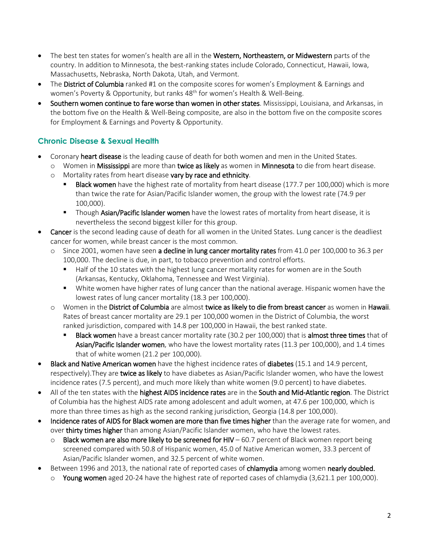- The best ten states for women's health are all in the Western, Northeastern, or Midwestern parts of the country. In addition to Minnesota, the best-ranking states include Colorado, Connecticut, Hawaii, Iowa, Massachusetts, Nebraska, North Dakota, Utah, and Vermont.
- The District of Columbia ranked #1 on the composite scores for women's Employment & Earnings and women's Poverty & Opportunity, but ranks 48<sup>th</sup> for women's Health & Well-Being.
- Southern women continue to fare worse than women in other states. Mississippi, Louisiana, and Arkansas, in the bottom five on the Health & Well-Being composite, are also in the bottom five on the composite scores for Employment & Earnings and Poverty & Opportunity.

### **Chronic Disease & Sexual Health**

- Coronary heart disease is the leading cause of death for both women and men in the United States.
	- $\circ$  Women in Mississippi are more than twice as likely as women in Minnesota to die from heart disease.
	- o Mortality rates from heart disease vary by race and ethnicity.
		- Black women have the highest rate of mortality from heart disease (177.7 per 100,000) which is more than twice the rate for Asian/Pacific Islander women, the group with the lowest rate (74.9 per 100,000).
		- **Though Asian/Pacific Islander women** have the lowest rates of mortality from heart disease, it is nevertheless the second biggest killer for this group.
- Cancer is the second leading cause of death for all women in the United States. Lung cancer is the deadliest cancer for women, while breast cancer is the most common.
	- $\circ$  Since 2001, women have seen a decline in lung cancer mortality rates from 41.0 per 100,000 to 36.3 per 100,000. The decline is due, in part, to tobacco prevention and control efforts.
		- Half of the 10 states with the highest lung cancer mortality rates for women are in the South (Arkansas, Kentucky, Oklahoma, Tennessee and West Virginia).
		- White women have higher rates of lung cancer than the national average. Hispanic women have the lowest rates of lung cancer mortality (18.3 per 100,000).
	- o Women in the District of Columbia are almost twice as likely to die from breast cancer as women in Hawaii. Rates of breast cancer mortality are 29.1 per 100,000 women in the District of Columbia, the worst ranked jurisdiction, compared with 14.8 per 100,000 in Hawaii, the best ranked state.
		- Black women have a breast cancer mortality rate (30.2 per 100,000) that is almost three times that of Asian/Pacific Islander women, who have the lowest mortality rates (11.3 per 100,000), and 1.4 times that of white women (21.2 per 100,000).
- Black and Native American women have the highest incidence rates of diabetes (15.1 and 14.9 percent, respectively). They are twice as likely to have diabetes as Asian/Pacific Islander women, who have the lowest incidence rates (7.5 percent), and much more likely than white women (9.0 percent) to have diabetes.
- All of the ten states with the highest AIDS incidence rates are in the South and Mid-Atlantic region. The District of Columbia has the highest AIDS rate among adolescent and adult women, at 47.6 per 100,000, which is more than three times as high as the second ranking jurisdiction, Georgia (14.8 per 100,000).
- Incidence rates of AIDS for Black women are more than five times higher than the average rate for women, and over thirty times higher than among Asian/Pacific Islander women, who have the lowest rates.
	- $\circ$  Black women are also more likely to be screened for HIV 60.7 percent of Black women report being screened compared with 50.8 of Hispanic women, 45.0 of Native American women, 33.3 percent of Asian/Pacific Islander women, and 32.5 percent of white women.
- Between 1996 and 2013, the national rate of reported cases of chlamydia among women nearly doubled.
	- $\circ$  Young women aged 20-24 have the highest rate of reported cases of chlamydia (3,621.1 per 100,000).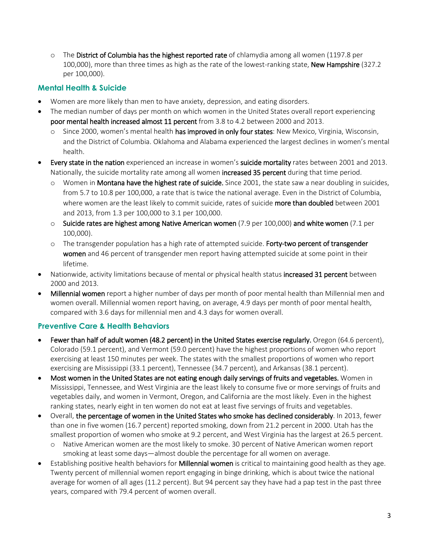$\circ$  The District of Columbia has the highest reported rate of chlamydia among all women (1197.8 per 100,000), more than three times as high as the rate of the lowest-ranking state, New Hampshire (327.2 per 100,000).

#### **Mental Health & Suicide**

- Women are more likely than men to have anxiety, depression, and eating disorders.
- The median number of days per month on which women in the United States overall report experiencing poor mental health increased almost 11 percent from 3.8 to 4.2 between 2000 and 2013.
	- o Since 2000, women's mental health has improved in only four states: New Mexico, Virginia, Wisconsin, and the District of Columbia. Oklahoma and Alabama experienced the largest declines in women's mental health.
- Every state in the nation experienced an increase in women's suicide mortality rates between 2001 and 2013. Nationally, the suicide mortality rate among all women increased 35 percent during that time period.
	- $\circ$  Women in **Montana have the highest rate of suicide.** Since 2001, the state saw a near doubling in suicides, from 5.7 to 10.8 per 100,000, a rate that is twice the national average. Even in the District of Columbia, where women are the least likely to commit suicide, rates of suicide more than doubled between 2001 and 2013, from 1.3 per 100,000 to 3.1 per 100,000.
	- o Suicide rates are highest among Native American women (7.9 per 100,000) and white women (7.1 per 100,000).
	- $\circ$  The transgender population has a high rate of attempted suicide. Forty-two percent of transgender women and 46 percent of transgender men report having attempted suicide at some point in their lifetime.
- Nationwide, activity limitations because of mental or physical health status increased 31 percent between 2000 and 2013.
- Millennial women report a higher number of days per month of poor mental health than Millennial men and women overall. Millennial women report having, on average, 4.9 days per month of poor mental health, compared with 3.6 days for millennial men and 4.3 days for women overall.

#### **Preventive Care & Health Behaviors**

- Fewer than half of adult women (48.2 percent) in the United States exercise regularly. Oregon (64.6 percent), Colorado (59.1 percent), and Vermont (59.0 percent) have the highest proportions of women who report exercising at least 150 minutes per week. The states with the smallest proportions of women who report exercising are Mississippi (33.1 percent), Tennessee (34.7 percent), and Arkansas (38.1 percent).
- Most women in the United States are not eating enough daily servings of fruits and vegetables. Women in Mississippi, Tennessee, and West Virginia are the least likely to consume five or more servings of fruits and vegetables daily, and women in Vermont, Oregon, and California are the most likely. Even in the highest ranking states, nearly eight in ten women do not eat at least five servings of fruits and vegetables.
- Overall, the percentage of women in the United States who smoke has declined considerably. In 2013, fewer than one in five women (16.7 percent) reported smoking, down from 21.2 percent in 2000. Utah has the smallest proportion of women who smoke at 9.2 percent, and West Virginia has the largest at 26.5 percent.
	- o Native American women are the most likely to smoke. 30 percent of Native American women report smoking at least some days—almost double the percentage for all women on average.
- Establishing positive health behaviors for Millennial women is critical to maintaining good health as they age. Twenty percent of millennial women report engaging in binge drinking, which is about twice the national average for women of all ages (11.2 percent). But 94 percent say they have had a pap test in the past three years, compared with 79.4 percent of women overall.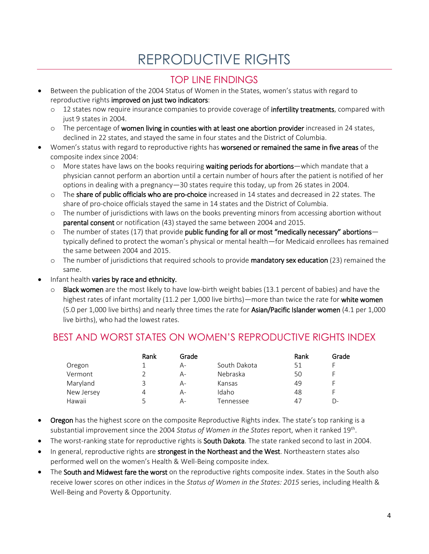# REPRODUCTIVE RIGHTS

## TOP LINE FINDINGS

- Between the publication of the 2004 Status of Women in the States, women's status with regard to reproductive rights improved on just two indicators:
	- o 12 states now require insurance companies to provide coverage of **infertility treatments**, compared with just 9 states in 2004.
	- o The percentage of women living in counties with at least one abortion provider increased in 24 states, declined in 22 states, and stayed the same in four states and the District of Columbia.
- Women's status with regard to reproductive rights has worsened or remained the same in five areas of the composite index since 2004:
	- $\circ$  More states have laws on the books requiring **waiting periods for abortions**—which mandate that a physician cannot perform an abortion until a certain number of hours after the patient is notified of her options in dealing with a pregnancy—30 states require this today, up from 26 states in 2004.
	- o The share of public officials who are pro-choice increased in 14 states and decreased in 22 states. The share of pro-choice officials stayed the same in 14 states and the District of Columbia.
	- o The number of jurisdictions with laws on the books preventing minors from accessing abortion without parental consent or notification (43) stayed the same between 2004 and 2015.
	- $\circ$  The number of states (17) that provide public funding for all or most "medically necessary" abortions typically defined to protect the woman's physical or mental health—for Medicaid enrollees has remained the same between 2004 and 2015.
	- o The number of jurisdictions that required schools to provide mandatory sex education (23) remained the same.
- Infant health varies by race and ethnicity.
	- $\circ$  Black women are the most likely to have low-birth weight babies (13.1 percent of babies) and have the highest rates of infant mortality (11.2 per 1,000 live births)—more than twice the rate for white women (5.0 per 1,000 live births) and nearly three times the rate for Asian/Pacific Islander women (4.1 per 1,000 live births), who had the lowest rates.

## BEST AND WORST STATES ON WOMEN'S REPRODUCTIVE RIGHTS INDEX

|            | Rank | Grade |              | Rank | Grade |
|------------|------|-------|--------------|------|-------|
| Oregon     |      | А-    | South Dakota | 51   |       |
| Vermont    |      | A-    | Nebraska     | 50   |       |
| Maryland   | 3    | $A-$  | Kansas       | 49   |       |
| New Jersey | 4    | A-    | Idaho        | 48   |       |
| Hawaii     |      | А-    | Tennessee    | 47   | D-    |

- **Oregon** has the highest score on the composite Reproductive Rights index. The state's top ranking is a substantial improvement since the 2004 Status of Women in the States report, when it ranked 19<sup>th</sup>.
- The worst-ranking state for reproductive rights is South Dakota. The state ranked second to last in 2004.
- In general, reproductive rights are strongest in the Northeast and the West. Northeastern states also performed well on the women's Health & Well-Being composite index.
- The South and Midwest fare the worst on the reproductive rights composite index. States in the South also receive lower scores on other indices in the *Status of Women in the States: 2015* series, including Health & Well-Being and Poverty & Opportunity.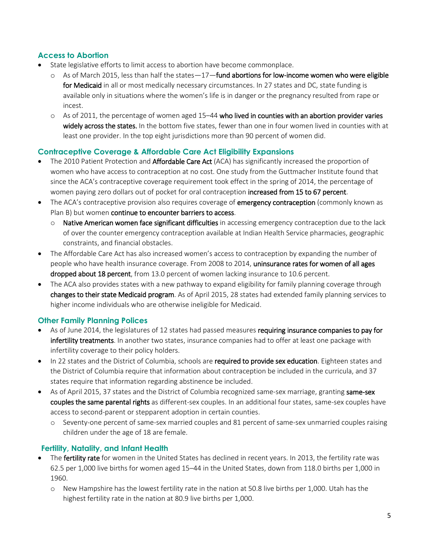#### **Access to Abortion**

- State legislative efforts to limit access to abortion have become commonplace.
	- $\circ$  As of March 2015, less than half the states—17—fund abortions for low-income women who were eligible for Medicaid in all or most medically necessary circumstances. In 27 states and DC, state funding is available only in situations where the women's life is in danger or the pregnancy resulted from rape or incest.
	- $\circ$  As of 2011, the percentage of women aged 15–44 who lived in counties with an abortion provider varies widely across the states. In the bottom five states, fewer than one in four women lived in counties with at least one provider. In the top eight jurisdictions more than 90 percent of women did.

#### **Contraceptive Coverage & Affordable Care Act Eligibility Expansions**

- The 2010 Patient Protection and Affordable Care Act (ACA) has significantly increased the proportion of women who have access to contraception at no cost. One study from the Guttmacher Institute found that since the ACA's contraceptive coverage requirement took effect in the spring of 2014, the percentage of women paying zero dollars out of pocket for oral contraception increased from 15 to 67 percent.
- The ACA's contraceptive provision also requires coverage of **emergency contraception** (commonly known as Plan B) but women continue to encounter barriers to access.
	- $\circ$  Native American women face significant difficulties in accessing emergency contraception due to the lack of over the counter emergency contraception available at Indian Health Service pharmacies, geographic constraints, and financial obstacles.
- The Affordable Care Act has also increased women's access to contraception by expanding the number of people who have health insurance coverage. From 2008 to 2014, uninsurance rates for women of all ages dropped about 18 percent, from 13.0 percent of women lacking insurance to 10.6 percent.
- The ACA also provides states with a new pathway to expand eligibility for family planning coverage through changes to their state Medicaid program. As of April 2015, 28 states had extended family planning services to higher income individuals who are otherwise ineligible for Medicaid.

#### **Other Family Planning Polices**

- As of June 2014, the legislatures of 12 states had passed measures requiring insurance companies to pay for infertility treatments. In another two states, insurance companies had to offer at least one package with infertility coverage to their policy holders.
- In 22 states and the District of Columbia, schools are required to provide sex education. Eighteen states and the District of Columbia require that information about contraception be included in the curricula, and 37 states require that information regarding abstinence be included.
- As of April 2015, 37 states and the District of Columbia recognized same-sex marriage, granting same-sex couples the same parental rights as different-sex couples. In an additional four states, same-sex couples have access to second-parent or stepparent adoption in certain counties.
	- o Seventy-one percent of same-sex married couples and 81 percent of same-sex unmarried couples raising children under the age of 18 are female.

### **Fertility, Natality, and Infant Health**

- The fertility rate for women in the United States has declined in recent years. In 2013, the fertility rate was 62.5 per 1,000 live births for women aged 15–44 in the United States, down from 118.0 births per 1,000 in 1960.
	- o New Hampshire has the lowest fertility rate in the nation at 50.8 live births per 1,000. Utah has the highest fertility rate in the nation at 80.9 live births per 1,000.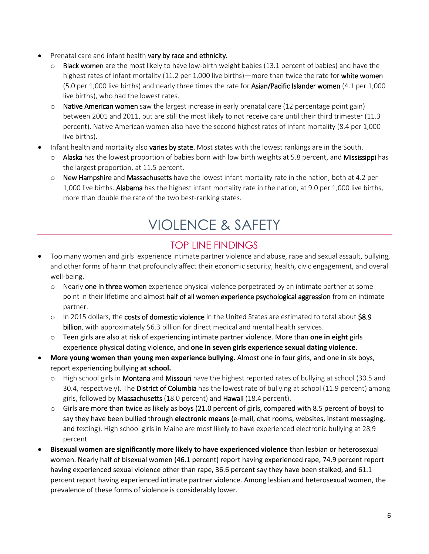- Prenatal care and infant health vary by race and ethnicity.
	- Black women are the most likely to have low-birth weight babies (13.1 percent of babies) and have the highest rates of infant mortality (11.2 per 1,000 live births)—more than twice the rate for white women (5.0 per 1,000 live births) and nearly three times the rate for Asian/Pacific Islander women (4.1 per 1,000 live births), who had the lowest rates.
	- $\circ$  Native American women saw the largest increase in early prenatal care (12 percentage point gain) between 2001 and 2011, but are still the most likely to not receive care until their third trimester (11.3 percent). Native American women also have the second highest rates of infant mortality (8.4 per 1,000 live births).
- Infant health and mortality also **varies by state.** Most states with the lowest rankings are in the South.
	- o Alaska has the lowest proportion of babies born with low birth weights at 5.8 percent, and Mississippi has the largest proportion, at 11.5 percent.
	- $\circ$  New Hampshire and Massachusetts have the lowest infant mortality rate in the nation, both at 4.2 per 1,000 live births. Alabama has the highest infant mortality rate in the nation, at 9.0 per 1,000 live births, more than double the rate of the two best-ranking states.

# VIOLENCE & SAFETY

## TOP LINE FINDINGS

- Too many women and girls experience intimate partner violence and abuse, rape and sexual assault, bullying, and other forms of harm that profoundly affect their economic security, health, civic engagement, and overall well-being.
	- o Nearly one in three women experience physical violence perpetrated by an intimate partner at some point in their lifetime and almost half of all women experience psychological aggression from an intimate partner.
	- o In 2015 dollars, the costs of domestic violence in the United States are estimated to total about \$8.9 billion, with approximately \$6.3 billion for direct medical and mental health services.
	- o Teen girls are also at risk of experiencing intimate partner violence. More than **one in eight** girls experience physical dating violence, and **one in seven girls experience sexual dating violence**.
- **More young women than young men experience bullying**. Almost one in four girls, and one in six boys, report experiencing bullying **at school.**
	- o High school girls in **Montana** and Missouri have the highest reported rates of bullying at school (30.5 and 30.4, respectively). The District of Columbia has the lowest rate of bullying at school (11.9 percent) among girls, followed by Massachusetts (18.0 percent) and Hawaii (18.4 percent).
	- o Girls are more than twice as likely as boys (21.0 percent of girls, compared with 8.5 percent of boys) to say they have been bullied through **electronic means** (e-mail, chat rooms, websites, instant messaging, and texting). High school girls in Maine are most likely to have experienced electronic bullying at 28.9 percent.
- **Bisexual women are significantly more likely to have experienced violence** than lesbian or heterosexual women. Nearly half of bisexual women (46.1 percent) report having experienced rape, 74.9 percent report having experienced sexual violence other than rape, 36.6 percent say they have been stalked, and 61.1 percent report having experienced intimate partner violence. Among lesbian and heterosexual women, the prevalence of these forms of violence is considerably lower.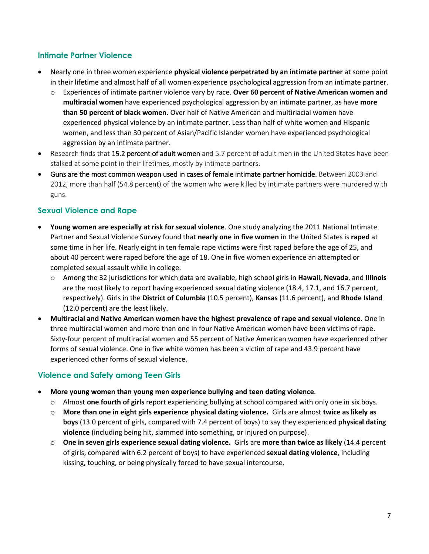#### **Intimate Partner Violence**

- Nearly one in three women experience **physical violence perpetrated by an intimate partner** at some point in their lifetime and almost half of all women experience psychological aggression from an intimate partner.
	- o Experiences of intimate partner violence vary by race. **Over 60 percent of Native American women and multiracial women** have experienced psychological aggression by an intimate partner, as have **more than 50 percent of black women.** Over half of Native American and multiriacial women have experienced physical violence by an intimate partner. Less than half of white women and Hispanic women, and less than 30 percent of Asian/Pacific Islander women have experienced psychological aggression by an intimate partner.
- Research finds that 15.2 percent of adult women and 5.7 percent of adult men in the United States have been stalked at some point in their lifetimes, mostly by intimate partners.
- Guns are the most common weapon used in cases of female intimate partner homicide. Between 2003 and 2012, more than half (54.8 percent) of the women who were killed by intimate partners were murdered with guns.

#### **Sexual Violence and Rape**

- **Young women are especially at risk for sexual violence**. One study analyzing the 2011 National Intimate Partner and Sexual Violence Survey found that **nearly one in five women** in the United States is **raped** at some time in her life. Nearly eight in ten female rape victims were first raped before the age of 25, and about 40 percent were raped before the age of 18. One in five women experience an attempted or completed sexual assault while in college.
	- o Among the 32 jurisdictions for which data are available, high school girls in **Hawaii, Nevada**, and **Illinois** are the most likely to report having experienced sexual dating violence (18.4, 17.1, and 16.7 percent, respectively). Girls in the **District of Columbia** (10.5 percent), **Kansas** (11.6 percent), and **Rhode Island** (12.0 percent) are the least likely.
- **Multiracial and Native American women have the highest prevalence of rape and sexual violence**. One in three multiracial women and more than one in four Native American women have been victims of rape. Sixty-four percent of multiracial women and 55 percent of Native American women have experienced other forms of sexual violence. One in five white women has been a victim of rape and 43.9 percent have experienced other forms of sexual violence.

#### **Violence and Safety among Teen Girls**

- **More young women than young men experience bullying and teen dating violence**.
	- o Almost **one fourth of girls** report experiencing bullying at school compared with only one in six boys.
	- o **More than one in eight girls experience physical dating violence.** Girls are almost **twice as likely as boys** (13.0 percent of girls, compared with 7.4 percent of boys) to say they experienced **physical dating violence** (including being hit, slammed into something, or injured on purpose).
	- o **One in seven girls experience sexual dating violence.** Girls are **more than twice as likely** (14.4 percent of girls, compared with 6.2 percent of boys) to have experienced **sexual dating violence**, including kissing, touching, or being physically forced to have sexual intercourse.